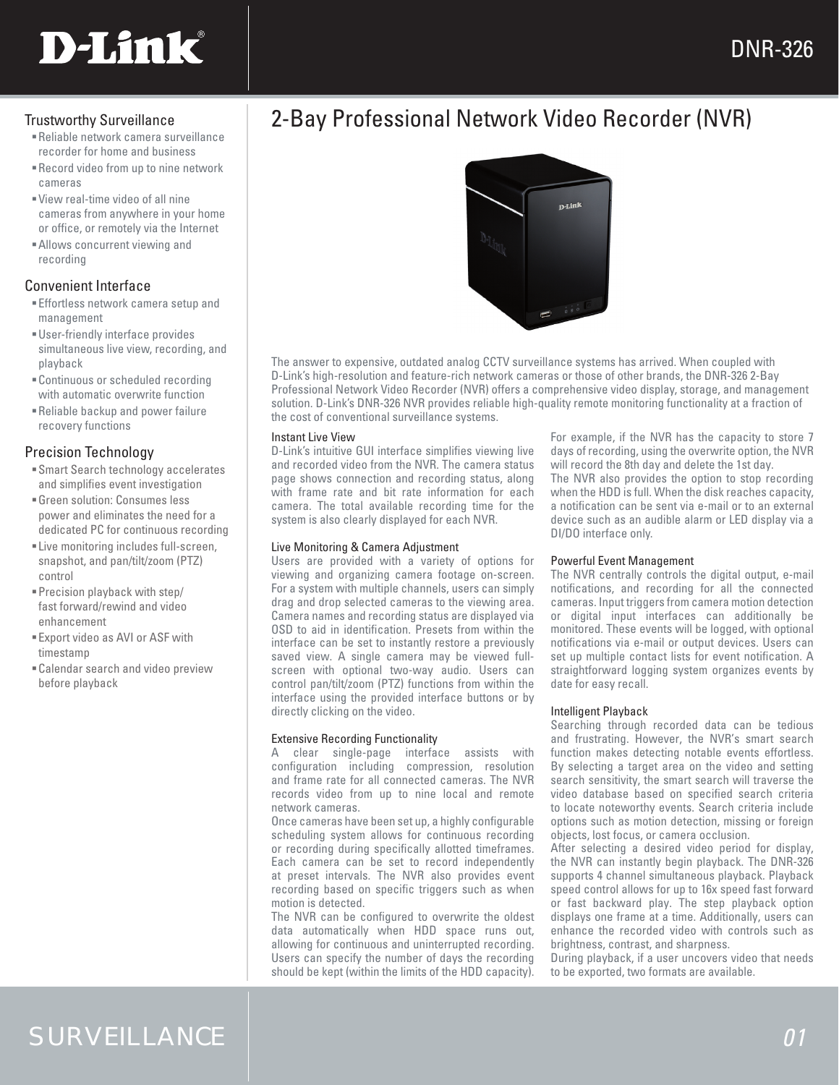# **D-Link**

- recorder for home and business
- Record video from up to nine network cameras
- View real-time video of all nine cameras from anywhere in your home or office, or remotely via the Internet
- Allows concurrent viewing and recording

# Convenient Interface

- Effortless network camera setup and management
- User-friendly interface provides simultaneous live view, recording, and playback
- Continuous or scheduled recording with automatic overwrite function
- Reliable backup and power failure recovery functions

# Precision Technology

- Smart Search technology accelerates and simplifies event investigation
- Green solution: Consumes less power and eliminates the need for a dedicated PC for continuous recording
- Live monitoring includes full-screen, snapshot, and pan/tilt/zoom (PTZ) control
- Precision playback with step/ fast forward/rewind and video enhancement
- Export video as AVI or ASF with timestamp
- Calendar search and video preview before playback

# Trustworthy Surveillance **2-Bay Professional Network Video Recorder (NVR) Reliable network camera surveillance**



The answer to expensive, outdated analog CCTV surveillance systems has arrived. When coupled with D-Link's high-resolution and feature-rich network cameras or those of other brands, the DNR-326 2-Bay Professional Network Video Recorder (NVR) offers a comprehensive video display, storage, and management solution. D-Link's DNR-326 NVR provides reliable high-quality remote monitoring functionality at a fraction of the cost of conventional surveillance systems.

# Instant Live View

D-Link's intuitive GUI interface simplifies viewing live and recorded video from the NVR. The camera status page shows connection and recording status, along with frame rate and bit rate information for each camera. The total available recording time for the system is also clearly displayed for each NVR.

### Live Monitoring & Camera Adjustment

Users are provided with a variety of options for viewing and organizing camera footage on-screen. For a system with multiple channels, users can simply drag and drop selected cameras to the viewing area. Camera names and recording status are displayed via OSD to aid in identification. Presets from within the interface can be set to instantly restore a previously saved view. A single camera may be viewed fullscreen with optional two-way audio. Users can control pan/tilt/zoom (PTZ) functions from within the interface using the provided interface buttons or by directly clicking on the video.

# Extensive Recording Functionality

A clear single-page interface assists with configuration including compression, resolution and frame rate for all connected cameras. The NVR records video from up to nine local and remote network cameras.

Once cameras have been set up, a highly configurable scheduling system allows for continuous recording or recording during specifically allotted timeframes. Each camera can be set to record independently at preset intervals. The NVR also provides event recording based on specific triggers such as when motion is detected.

The NVR can be configured to overwrite the oldest data automatically when HDD space runs out, allowing for continuous and uninterrupted recording. Users can specify the number of days the recording should be kept (within the limits of the HDD capacity).

For example, if the NVR has the capacity to store 7 days of recording, using the overwrite option, the NVR will record the 8th day and delete the 1st day. The NVR also provides the option to stop recording when the HDD is full. When the disk reaches capacity, a notification can be sent via e-mail or to an external device such as an audible alarm or LED display via a DI/DO interface only.

### Powerful Event Management

The NVR centrally controls the digital output, e-mail notifications, and recording for all the connected cameras. Input triggers from camera motion detection or digital input interfaces can additionally be monitored. These events will be logged, with optional notifications via e-mail or output devices. Users can set up multiple contact lists for event notification. A straightforward logging system organizes events by date for easy recall.

### Intelligent Playback

Searching through recorded data can be tedious and frustrating. However, the NVR's smart search function makes detecting notable events effortless. By selecting a target area on the video and setting search sensitivity, the smart search will traverse the video database based on specified search criteria to locate noteworthy events. Search criteria include options such as motion detection, missing or foreign objects, lost focus, or camera occlusion.

After selecting a desired video period for display, the NVR can instantly begin playback. The DNR-326 supports 4 channel simultaneous playback. Playback speed control allows for up to 16x speed fast forward or fast backward play. The step playback option displays one frame at a time. Additionally, users can enhance the recorded video with controls such as brightness, contrast, and sharpness.

During playback, if a user uncovers video that needs to be exported, two formats are available.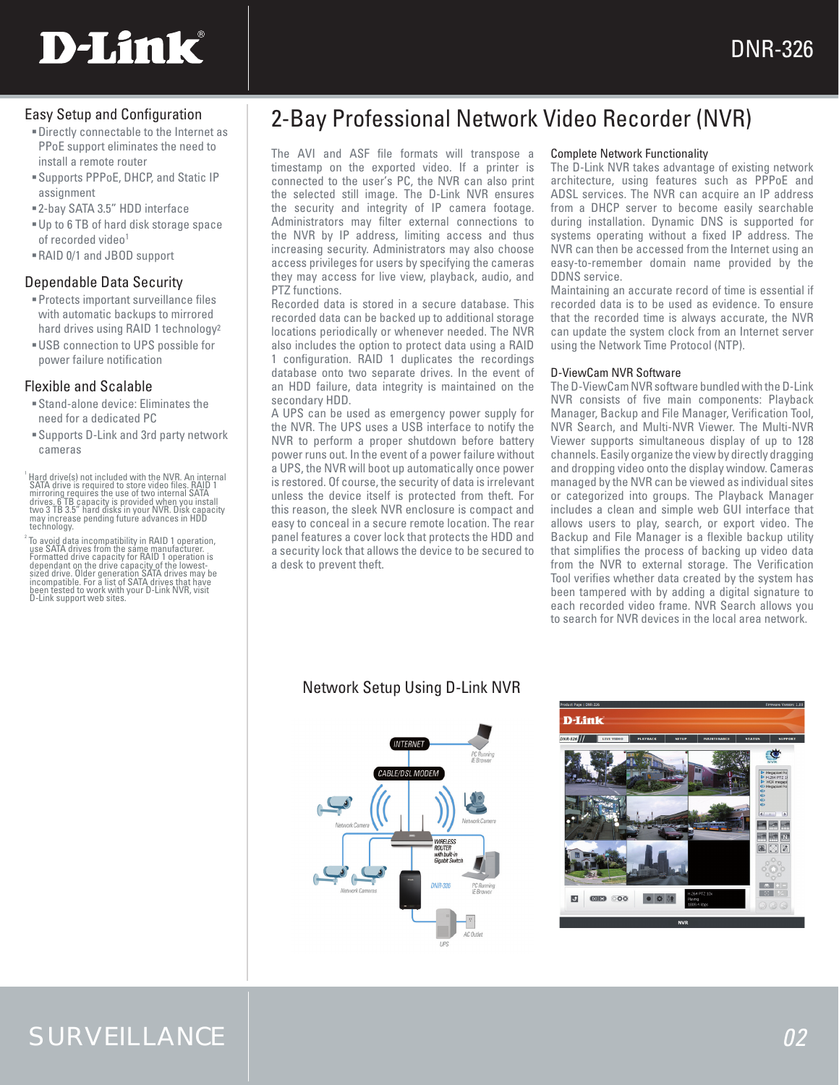

# Easy Setup and Configuration

- Directly connectable to the Internet as PPoE support eliminates the need to install a remote router
- Supports PPPoE, DHCP, and Static IP assignment
- 2-bay SATA 3.5" HDD interface
- Up to 6 TB of hard disk storage space of recorded video<sup>1</sup>
- RAID 0/1 and JBOD support

# Dependable Data Security

- Protects important surveillance files with automatic backups to mirrored hard drives using RAID 1 technology2
- USB connection to UPS possible for power failure notification

# Flexible and Scalable

- Stand-alone device: Eliminates the need for a dedicated PC
- Supports D-Link and 3rd party network cameras

<sup>1</sup> Hard drive(s) not included with the NVR. An internal SATA drive is required to store video files. RAID 1<br>mirroring requires the use of two internal SATA<br>drives. 6 TB capacity is provided when you install<br>two 3 TB s.3: technology.

2 To avoid data incompatibility in RAID 1 operation, use SATA drives from the same manufacturer. Formatted drive capacity for RAID 1 operation is dependant on the drive capacity of the lowest-<br>sized drive. Older generation SATA drives may be<br>incompatible. For a list of SATA drives that have<br>been tested to work with your D-Link NVR, visit<br>D-Link support web sites.

# 2-Bay Professional Network Video Recorder (NVR)

The AVI and ASF file formats will transpose a timestamp on the exported video. If a printer is connected to the user's PC, the NVR can also print the selected still image. The D-Link NVR ensures the security and integrity of IP camera footage. Administrators may filter external connections to the NVR by IP address, limiting access and thus increasing security. Administrators may also choose access privileges for users by specifying the cameras they may access for live view, playback, audio, and PTZ functions.

Recorded data is stored in a secure database. This recorded data can be backed up to additional storage locations periodically or whenever needed. The NVR also includes the option to protect data using a RAID 1 configuration. RAID 1 duplicates the recordings database onto two separate drives. In the event of an HDD failure, data integrity is maintained on the secondary HDD.

A UPS can be used as emergency power supply for the NVR. The UPS uses a USB interface to notify the NVR to perform a proper shutdown before battery power runs out. In the event of a power failure without a UPS, the NVR will boot up automatically once power is restored. Of course, the security of data is irrelevant unless the device itself is protected from theft. For this reason, the sleek NVR enclosure is compact and easy to conceal in a secure remote location. The rear panel features a cover lock that protects the HDD and a security lock that allows the device to be secured to a desk to prevent theft.

# Complete Network Functionality

The D-Link NVR takes advantage of existing network architecture, using features such as PPPoE and ADSL services. The NVR can acquire an IP address from a DHCP server to become easily searchable during installation. Dynamic DNS is supported for systems operating without a fixed IP address. The NVR can then be accessed from the Internet using an easy-to-remember domain name provided by the DDNS service.

Maintaining an accurate record of time is essential if recorded data is to be used as evidence. To ensure that the recorded time is always accurate, the NVR can update the system clock from an Internet server using the Network Time Protocol (NTP).

### D-ViewCam NVR Software

The D-ViewCam NVR software bundled with the D-Link NVR consists of five main components: Playback Manager, Backup and File Manager, Verification Tool, NVR Search, and Multi-NVR Viewer. The Multi-NVR Viewer supports simultaneous display of up to 128 channels. Easily organize the view by directly dragging and dropping video onto the display window. Cameras managed by the NVR can be viewed as individual sites or categorized into groups. The Playback Manager includes a clean and simple web GUI interface that allows users to play, search, or export video. The Backup and File Manager is a flexible backup utility that simplifies the process of backing up video data from the NVR to external storage. The Verification Tool verifies whether data created by the system has been tampered with by adding a digital signature to each recorded video frame. NVR Search allows you to search for NVR devices in the local area network.

# Network Setup Using D-Link NVR





# SURVEILLANCE *02*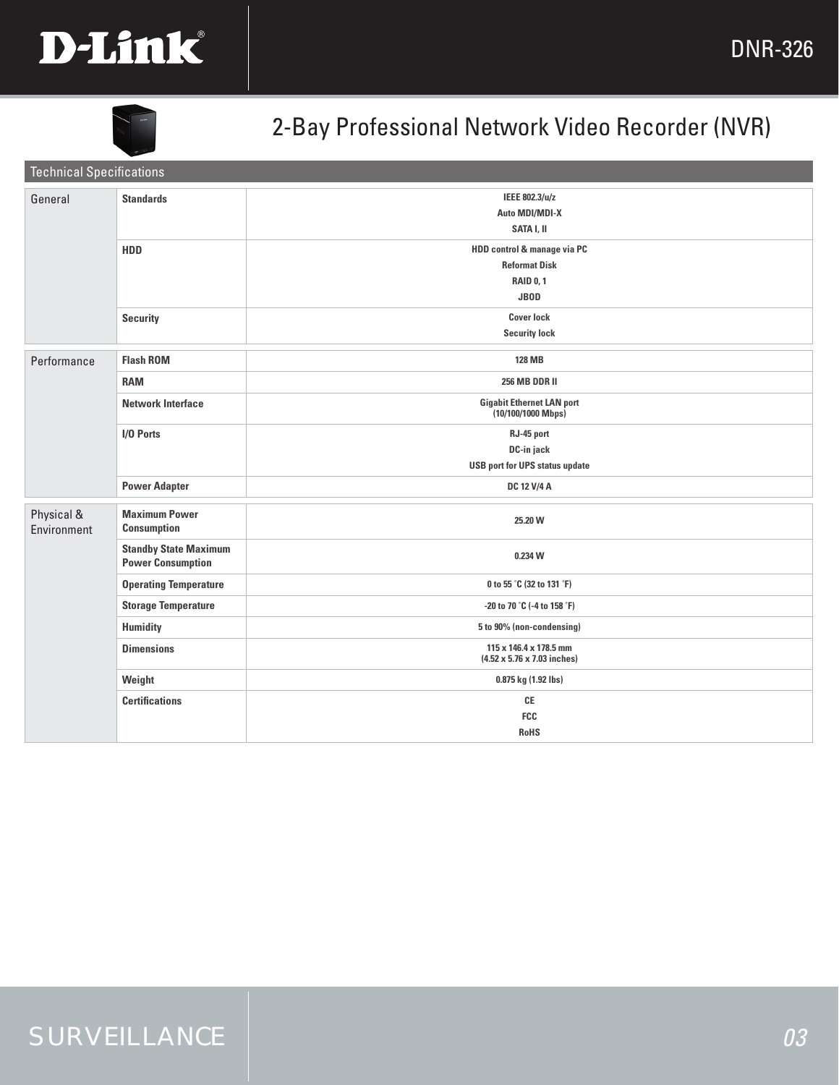



# 2-Bay Professional Network Video Recorder (NVR)

| <b>Technical Specifications</b> |                                                          |                                                                                        |
|---------------------------------|----------------------------------------------------------|----------------------------------------------------------------------------------------|
| General                         | <b>Standards</b>                                         | IEEE 802.3/u/z<br>Auto MDI/MDI-X<br>SATA I, II                                         |
|                                 | HDD                                                      | HDD control & manage via PC<br><b>Reformat Disk</b><br><b>RAID 0, 1</b><br><b>JBOD</b> |
|                                 | <b>Security</b>                                          | <b>Cover lock</b><br><b>Security lock</b>                                              |
| Performance                     | <b>Flash ROM</b>                                         | <b>128 MB</b>                                                                          |
|                                 | <b>RAM</b>                                               | <b>256 MB DDR II</b>                                                                   |
|                                 | <b>Network Interface</b>                                 | <b>Gigabit Ethernet LAN port</b><br>$(10/100/1000$ Mbps)                               |
|                                 | I/O Ports                                                | RJ-45 port<br>DC-in jack<br><b>USB port for UPS status update</b>                      |
|                                 | <b>Power Adapter</b>                                     | DC 12 V/4 A                                                                            |
| Physical &<br>Environment       | <b>Maximum Power</b><br><b>Consumption</b>               | 25.20 W                                                                                |
|                                 | <b>Standby State Maximum</b><br><b>Power Consumption</b> | 0.234 W                                                                                |
|                                 | <b>Operating Temperature</b>                             | 0 to 55 °C (32 to 131 °F)                                                              |
|                                 | <b>Storage Temperature</b>                               | -20 to 70 °C (-4 to 158 °F)                                                            |
|                                 | <b>Humidity</b>                                          | 5 to 90% (non-condensing)                                                              |
|                                 | <b>Dimensions</b>                                        | 115 x 146.4 x 178.5 mm<br>$(4.52 \times 5.76 \times 7.03$ inches)                      |
|                                 | Weight                                                   | 0.875 kg (1.92 lbs)                                                                    |
|                                 | <b>Certifications</b>                                    | $\mathsf{CE}$<br>FCC<br><b>RoHS</b>                                                    |